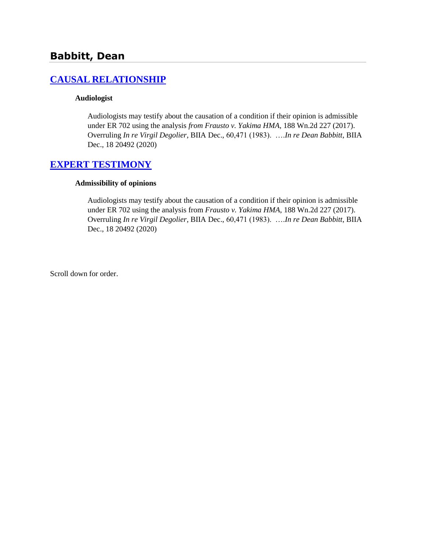# **Babbitt, Dean**

# **[CAUSAL RELATIONSHIP](http://www.biia.wa.gov/SDSubjectIndex.html#CAUSAL_RELATIONSHIP/)**

#### **Audiologist**

Audiologists may testify about the causation of a condition if their opinion is admissible under ER 702 using the analysis *from Frausto v. Yakima HMA*, 188 Wn.2d 227 (2017). Overruling *In re Virgil Degolier*, BIIA Dec., 60,471 (1983). ….*In re Dean Babbitt*, BIIA Dec., 18 20492 (2020)

### **[EXPERT TESTIMONY](http://www.biia.wa.gov/SDSubjectIndex.html#EXPERT_TESTIMONY)**

#### **Admissibility of opinions**

Audiologists may testify about the causation of a condition if their opinion is admissible under ER 702 using the analysis from *Frausto v. Yakima HMA*, 188 Wn.2d 227 (2017). Overruling *In re Virgil Degolier*, BIIA Dec., 60,471 (1983). ….*In re Dean Babbitt*, BIIA Dec., 18 20492 (2020)

Scroll down for order.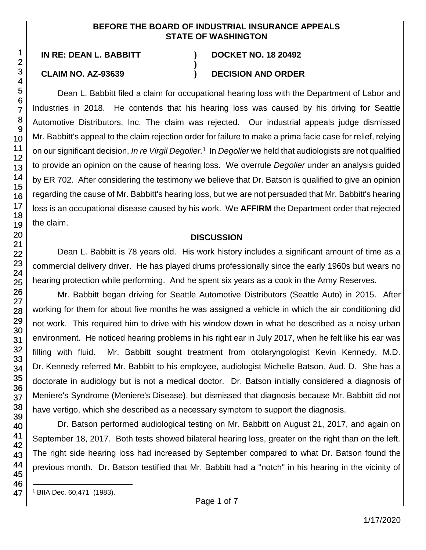### **BEFORE THE BOARD OF INDUSTRIAL INSURANCE APPEALS STATE OF WASHINGTON**

**)**

**IN RE: DEAN L. BABBITT ) DOCKET NO. 18 20492**

# **CLAIM NO. AZ-93639 ) DECISION AND ORDER**

Dean L. Babbitt filed a claim for occupational hearing loss with the Department of Labor and Industries in 2018. He contends that his hearing loss was caused by his driving for Seattle Automotive Distributors, Inc. The claim was rejected. Our industrial appeals judge dismissed Mr. Babbitt's appeal to the claim rejection order for failure to make a prima facie case for relief, relying on our significant decision, *In re Virgil Degolier.* 1 In *Degolier* we held that audiologists are not qualified to provide an opinion on the cause of hearing loss. We overrule *Degolier* under an analysis guided by ER 702. After considering the testimony we believe that Dr. Batson is qualified to give an opinion regarding the cause of Mr. Babbitt's hearing loss, but we are not persuaded that Mr. Babbitt's hearing loss is an occupational disease caused by his work. We **AFFIRM** the Department order that rejected the claim.

## **DISCUSSION**

Dean L. Babbitt is 78 years old. His work history includes a significant amount of time as a commercial delivery driver. He has played drums professionally since the early 1960s but wears no hearing protection while performing. And he spent six years as a cook in the Army Reserves.

Mr. Babbitt began driving for Seattle Automotive Distributors (Seattle Auto) in 2015. After working for them for about five months he was assigned a vehicle in which the air conditioning did not work. This required him to drive with his window down in what he described as a noisy urban environment. He noticed hearing problems in his right ear in July 2017, when he felt like his ear was filling with fluid. Mr. Babbitt sought treatment from otolaryngologist Kevin Kennedy, M.D. Dr. Kennedy referred Mr. Babbitt to his employee, audiologist Michelle Batson, Aud. D. She has a doctorate in audiology but is not a medical doctor. Dr. Batson initially considered a diagnosis of Meniere's Syndrome (Meniere's Disease), but dismissed that diagnosis because Mr. Babbitt did not have vertigo, which she described as a necessary symptom to support the diagnosis.

Dr. Batson performed audiological testing on Mr. Babbitt on August 21, 2017, and again on September 18, 2017. Both tests showed bilateral hearing loss, greater on the right than on the left. The right side hearing loss had increased by September compared to what Dr. Batson found the previous month. Dr. Batson testified that Mr. Babbitt had a "notch" in his hearing in the vicinity of

l <sup>1</sup> BIIA Dec. 60,471 (1983).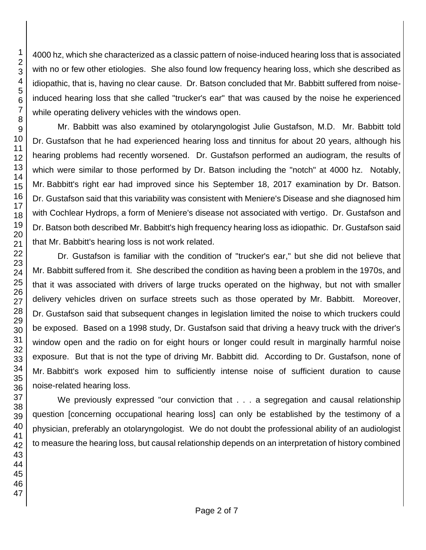4000 hz, which she characterized as a classic pattern of noise-induced hearing loss that is associated with no or few other etiologies. She also found low frequency hearing loss, which she described as idiopathic, that is, having no clear cause. Dr. Batson concluded that Mr. Babbitt suffered from noiseinduced hearing loss that she called "trucker's ear" that was caused by the noise he experienced while operating delivery vehicles with the windows open.

Mr. Babbitt was also examined by otolaryngologist Julie Gustafson, M.D. Mr. Babbitt told Dr. Gustafson that he had experienced hearing loss and tinnitus for about 20 years, although his hearing problems had recently worsened. Dr. Gustafson performed an audiogram, the results of which were similar to those performed by Dr. Batson including the "notch" at 4000 hz. Notably, Mr. Babbitt's right ear had improved since his September 18, 2017 examination by Dr. Batson. Dr. Gustafson said that this variability was consistent with Meniere's Disease and she diagnosed him with Cochlear Hydrops, a form of Meniere's disease not associated with vertigo. Dr. Gustafson and Dr. Batson both described Mr. Babbitt's high frequency hearing loss as idiopathic. Dr. Gustafson said that Mr. Babbitt's hearing loss is not work related.

Dr. Gustafson is familiar with the condition of "trucker's ear," but she did not believe that Mr. Babbitt suffered from it. She described the condition as having been a problem in the 1970s, and that it was associated with drivers of large trucks operated on the highway, but not with smaller delivery vehicles driven on surface streets such as those operated by Mr. Babbitt. Moreover, Dr. Gustafson said that subsequent changes in legislation limited the noise to which truckers could be exposed. Based on a 1998 study, Dr. Gustafson said that driving a heavy truck with the driver's window open and the radio on for eight hours or longer could result in marginally harmful noise exposure. But that is not the type of driving Mr. Babbitt did. According to Dr. Gustafson, none of Mr. Babbitt's work exposed him to sufficiently intense noise of sufficient duration to cause noise-related hearing loss.

We previously expressed "our conviction that . . . a segregation and causal relationship question [concerning occupational hearing loss] can only be established by the testimony of a physician, preferably an otolaryngologist. We do not doubt the professional ability of an audiologist to measure the hearing loss, but causal relationship depends on an interpretation of history combined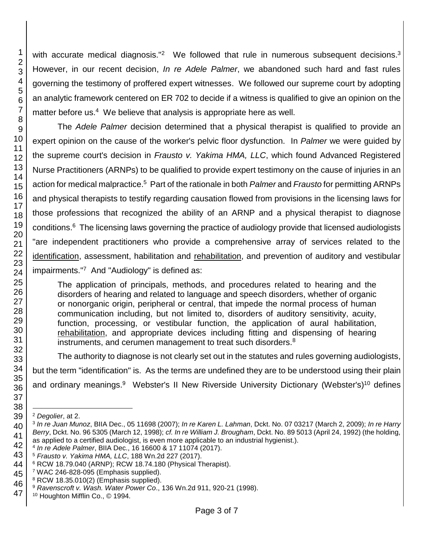with accurate medical diagnosis."<sup>2</sup> We followed that rule in numerous subsequent decisions. $3$ However, in our recent decision, *In re Adele Palmer*, we abandoned such hard and fast rules governing the testimony of proffered expert witnesses. We followed our supreme court by adopting an analytic framework centered on ER 702 to decide if a witness is qualified to give an opinion on the matter before us.<sup>4</sup> We believe that analysis is appropriate here as well.

The *Adele Palmer* decision determined that a physical therapist is qualified to provide an expert opinion on the cause of the worker's pelvic floor dysfunction. In *Palmer* we were guided by the supreme court's decision in *Frausto v. Yakima HMA, LLC*, which found Advanced Registered Nurse Practitioners (ARNPs) to be qualified to provide expert testimony on the cause of injuries in an action for medical malpractice. <sup>5</sup> Part of the rationale in both *Palmer* and *Frausto* for permitting ARNPs and physical therapists to testify regarding causation flowed from provisions in the licensing laws for those professions that recognized the ability of an ARNP and a physical therapist to diagnose conditions.<sup>6</sup> The licensing laws governing the practice of audiology provide that licensed audiologists "are independent practitioners who provide a comprehensive array of services related to the identification, assessment, habilitation and rehabilitation, and prevention of auditory and vestibular impairments." <sup>7</sup> And "Audiology" is defined as:

The application of principals, methods, and procedures related to hearing and the disorders of hearing and related to language and speech disorders, whether of organic or nonorganic origin, peripheral or central, that impede the normal process of human communication including, but not limited to, disorders of auditory sensitivity, acuity, function, processing, or vestibular function, the application of aural habilitation, rehabilitation, and appropriate devices including fitting and dispensing of hearing instruments, and cerumen management to treat such disorders.<sup>8</sup>

The authority to diagnose is not clearly set out in the statutes and rules governing audiologists,

but the term "identification" is. As the terms are undefined they are to be understood using their plain

and ordinary meanings.<sup>9</sup> Webster's II New Riverside University Dictionary (Webster's)<sup>10</sup> defines

l *Degolier*, at 2.

 *In re Juan Munoz*, BIIA Dec., 05 11698 (2007); *In re Karen L. Lahman*, Dckt. No. 07 03217 (March 2, 2009); *In re Harry Berry*, Dckt. No. 96 5305 (March 12, 1998); *cf. In re William J. Brougham*, Dckt. No. 89 5013 (April 24, 1992) (the holding, as applied to a certified audiologist, is even more applicable to an industrial hygienist.).

*In re Adele Palmer*, BIIA Dec., 16 16600 & 17 11074 (2017).

*Frausto v. Yakima HMA, LLC*, 188 Wn.2d 227 (2017).

RCW 18.79.040 (ARNP); RCW 18.74.180 (Physical Therapist).

WAC 246-828-095 (Emphasis supplied).

 RCW 18.35.010(2) (Emphasis supplied).

 *Ravenscroft v. Wash. Water Power Co*., 136 Wn.2d 911, 920-21 (1998).

Houghton Mifflin Co., © 1994.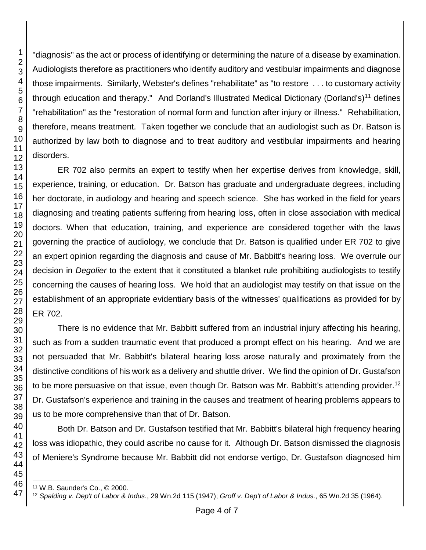"diagnosis" as the act or process of identifying or determining the nature of a disease by examination. Audiologists therefore as practitioners who identify auditory and vestibular impairments and diagnose those impairments. Similarly, Webster's defines "rehabilitate" as "to restore . . . to customary activity through education and therapy." And Dorland's Illustrated Medical Dictionary (Dorland's)<sup>11</sup> defines "rehabilitation" as the "restoration of normal form and function after injury or illness." Rehabilitation, therefore, means treatment. Taken together we conclude that an audiologist such as Dr. Batson is authorized by law both to diagnose and to treat auditory and vestibular impairments and hearing disorders.

ER 702 also permits an expert to testify when her expertise derives from knowledge, skill, experience, training, or education. Dr. Batson has graduate and undergraduate degrees, including her doctorate, in audiology and hearing and speech science. She has worked in the field for years diagnosing and treating patients suffering from hearing loss, often in close association with medical doctors. When that education, training, and experience are considered together with the laws governing the practice of audiology, we conclude that Dr. Batson is qualified under ER 702 to give an expert opinion regarding the diagnosis and cause of Mr. Babbitt's hearing loss. We overrule our decision in *Degolier* to the extent that it constituted a blanket rule prohibiting audiologists to testify concerning the causes of hearing loss. We hold that an audiologist may testify on that issue on the establishment of an appropriate evidentiary basis of the witnesses' qualifications as provided for by ER 702.

There is no evidence that Mr. Babbitt suffered from an industrial injury affecting his hearing, such as from a sudden traumatic event that produced a prompt effect on his hearing. And we are not persuaded that Mr. Babbitt's bilateral hearing loss arose naturally and proximately from the distinctive conditions of his work as a delivery and shuttle driver. We find the opinion of Dr. Gustafson to be more persuasive on that issue, even though Dr. Batson was Mr. Babbitt's attending provider.<sup>12</sup> Dr. Gustafson's experience and training in the causes and treatment of hearing problems appears to us to be more comprehensive than that of Dr. Batson.

Both Dr. Batson and Dr. Gustafson testified that Mr. Babbitt's bilateral high frequency hearing loss was idiopathic, they could ascribe no cause for it. Although Dr. Batson dismissed the diagnosis of Meniere's Syndrome because Mr. Babbitt did not endorse vertigo, Dr. Gustafson diagnosed him

W.B. Saunder's Co., © 2000.

*Spalding v. Dep't of Labor & Indus.*, 29 Wn.2d 115 (1947); *Groff v. Dep't of Labor & Indus.*, 65 Wn.2d 35 (1964).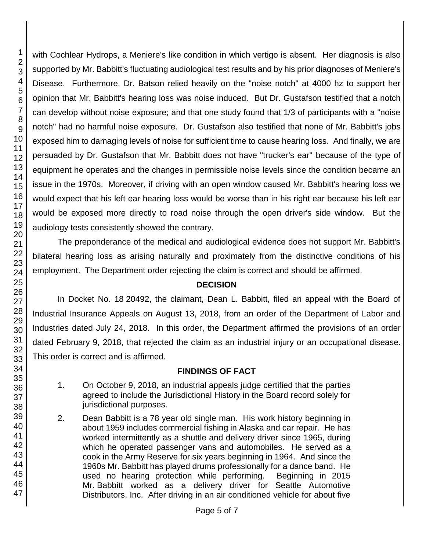with Cochlear Hydrops, a Meniere's like condition in which vertigo is absent. Her diagnosis is also supported by Mr. Babbitt's fluctuating audiological test results and by his prior diagnoses of Meniere's Disease. Furthermore, Dr. Batson relied heavily on the "noise notch" at 4000 hz to support her opinion that Mr. Babbitt's hearing loss was noise induced. But Dr. Gustafson testified that a notch can develop without noise exposure; and that one study found that 1/3 of participants with a "noise notch" had no harmful noise exposure. Dr. Gustafson also testified that none of Mr. Babbitt's jobs exposed him to damaging levels of noise for sufficient time to cause hearing loss. And finally, we are persuaded by Dr. Gustafson that Mr. Babbitt does not have "trucker's ear" because of the type of equipment he operates and the changes in permissible noise levels since the condition became an issue in the 1970s. Moreover, if driving with an open window caused Mr. Babbitt's hearing loss we would expect that his left ear hearing loss would be worse than in his right ear because his left ear would be exposed more directly to road noise through the open driver's side window. But the audiology tests consistently showed the contrary.

The preponderance of the medical and audiological evidence does not support Mr. Babbitt's bilateral hearing loss as arising naturally and proximately from the distinctive conditions of his employment. The Department order rejecting the claim is correct and should be affirmed.

## **DECISION**

In Docket No. 18 20492, the claimant, Dean L. Babbitt, filed an appeal with the Board of Industrial Insurance Appeals on August 13, 2018, from an order of the Department of Labor and Industries dated July 24, 2018. In this order, the Department affirmed the provisions of an order dated February 9, 2018, that rejected the claim as an industrial injury or an occupational disease. This order is correct and is affirmed.

## **FINDINGS OF FACT**

- 1. On October 9, 2018, an industrial appeals judge certified that the parties agreed to include the Jurisdictional History in the Board record solely for jurisdictional purposes.
- 2. Dean Babbitt is a 78 year old single man. His work history beginning in about 1959 includes commercial fishing in Alaska and car repair. He has worked intermittently as a shuttle and delivery driver since 1965, during which he operated passenger vans and automobiles. He served as a cook in the Army Reserve for six years beginning in 1964. And since the 1960s Mr. Babbitt has played drums professionally for a dance band. He used no hearing protection while performing. Beginning in 2015 Mr. Babbitt worked as a delivery driver for Seattle Automotive Distributors, Inc. After driving in an air conditioned vehicle for about five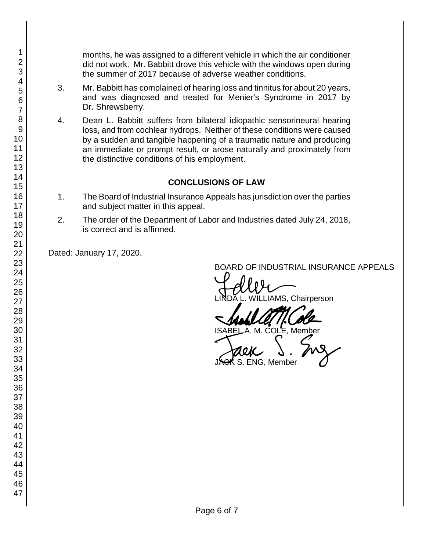months, he was assigned to a different vehicle in which the air conditioner did not work. Mr. Babbitt drove this vehicle with the windows open during the summer of 2017 because of adverse weather conditions.

- 3. Mr. Babbitt has complained of hearing loss and tinnitus for about 20 years, and was diagnosed and treated for Menier's Syndrome in 2017 by Dr. Shrewsberry.
- 4. Dean L. Babbitt suffers from bilateral idiopathic sensorineural hearing loss, and from cochlear hydrops. Neither of these conditions were caused by a sudden and tangible happening of a traumatic nature and producing an immediate or prompt result, or arose naturally and proximately from the distinctive conditions of his employment.

# **CONCLUSIONS OF LAW**

- 1. The Board of Industrial Insurance Appeals has jurisdiction over the parties and subject matter in this appeal.
- 2. The order of the Department of Labor and Industries dated July 24, 2018, is correct and is affirmed.

Dated: January 17, 2020.

BOARD OF INDUSTRIAL INSURANCE APPEALS<br>
LINDA L. WILLIAMS, Chairperson

SADAL ATTICOLE S. ENG, Member